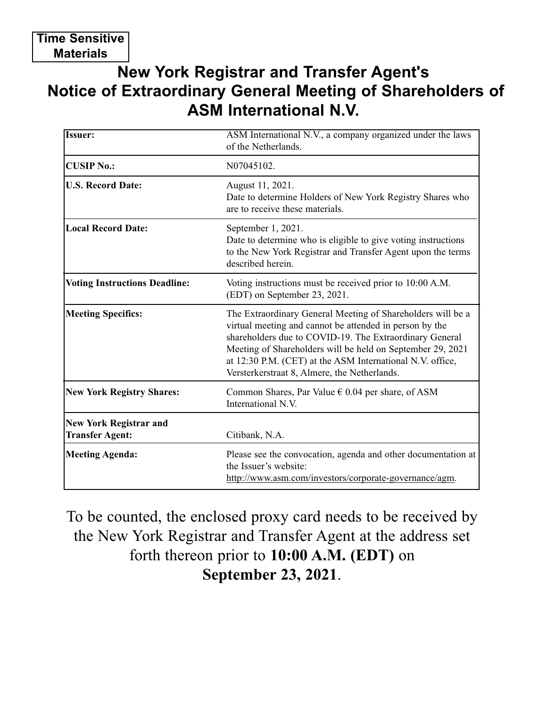## **New York Registrar and Transfer Agent's Notice of Extraordinary General Meeting of Shareholders of ASM International N.V.**

| Issuer:                                                 | ASM International N.V., a company organized under the laws<br>of the Netherlands.                                                                                                                                                                                                                                                                            |
|---------------------------------------------------------|--------------------------------------------------------------------------------------------------------------------------------------------------------------------------------------------------------------------------------------------------------------------------------------------------------------------------------------------------------------|
| <b>CUSIP No.:</b>                                       | N07045102.                                                                                                                                                                                                                                                                                                                                                   |
| <b>U.S. Record Date:</b>                                | August 11, 2021.<br>Date to determine Holders of New York Registry Shares who<br>are to receive these materials.                                                                                                                                                                                                                                             |
| <b>Local Record Date:</b>                               | September 1, 2021.<br>Date to determine who is eligible to give voting instructions<br>to the New York Registrar and Transfer Agent upon the terms<br>described herein.                                                                                                                                                                                      |
| <b>Voting Instructions Deadline:</b>                    | Voting instructions must be received prior to 10:00 A.M.<br>(EDT) on September 23, 2021.                                                                                                                                                                                                                                                                     |
| <b>Meeting Specifics:</b>                               | The Extraordinary General Meeting of Shareholders will be a<br>virtual meeting and cannot be attended in person by the<br>shareholders due to COVID-19. The Extraordinary General<br>Meeting of Shareholders will be held on September 29, 2021<br>at 12:30 P.M. (CET) at the ASM International N.V. office,<br>Versterkerstraat 8, Almere, the Netherlands. |
| <b>New York Registry Shares:</b>                        | Common Shares, Par Value $\epsilon$ 0.04 per share, of ASM<br>International N.V.                                                                                                                                                                                                                                                                             |
| <b>New York Registrar and</b><br><b>Transfer Agent:</b> | Citibank, N.A.                                                                                                                                                                                                                                                                                                                                               |
| <b>Meeting Agenda:</b>                                  | Please see the convocation, agenda and other documentation at<br>the Issuer's website:<br>http://www.asm.com/investors/corporate-governance/agm.                                                                                                                                                                                                             |

To be counted, the enclosed proxy card needs to be received by the New York Registrar and Transfer Agent at the address set forth thereon prior to **10:00 A.M. (EDT)** on **September 23, 2021**.